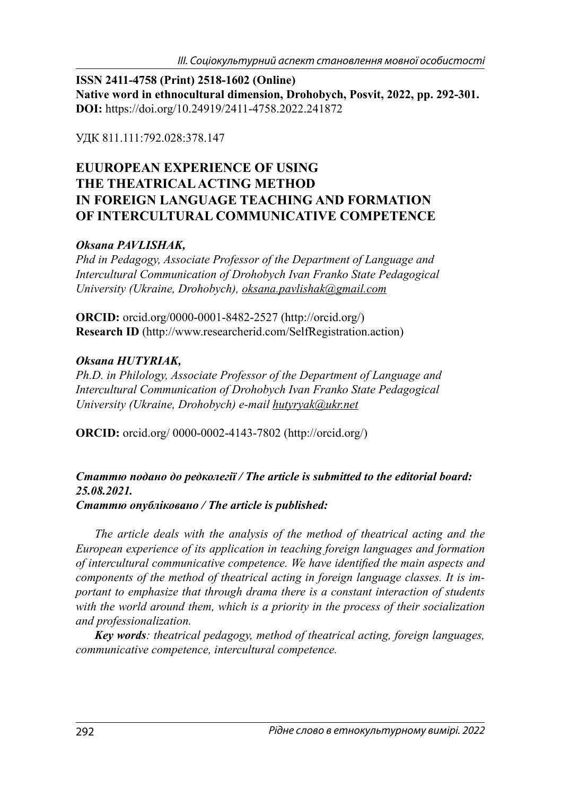**ISSN 2411-4758 (Print) 2518-1602 (Online) Native word in ethnocultural dimension, Drohobych, Posvit, 2022, pp. 292-301. DOI:** https://doi.org/10.24919/2411-4758.2022.241872

УДК 811.111:792.028:378.147

# **EUUROPEAN EXPERIENCE OF USING THE THEATRICAL ACTING METHOD IN FOREIGN LANGUAGE TEACHING AND FORMATION OF INTERCULTURAL COMMUNICATIVE COMPETENCE**

## *Oksana PAVLISHAK,*

*Phd in Pedagogy, Associate Professor of the Department of Language and Intercultural Communication of Drohobych Ivan Franko State Pedagogical University (Ukraine, Drohobych), oksana.pavlishak@gmail.com*

**ORCID:** orcid.org/0000-0001-8482-2527 (http://orcid.org/) **Research ID** (http://www.researcherid.com/SelfRegistration.action)

## *Oksana HUTYRIAK,*

*Ph.D. in Philology, Associate Professor of the Department of Language and Intercultural Communication of Drohobych Ivan Franko State Pedagogical University (Ukraine, Drohobych) e-mail hutyryak@ukr.net*

**ORCID:** orcid.org/ 0000-0002-4143-7802 (http://orcid.org/)

### *Статтю подано до редколегії / The article is submitted to the editorial board: 25.08.2021. Статтю опубліковано / The article is published:*

*The article deals with the analysis of the method of theatrical acting and the European experience of its application in teaching foreign languages and formation of intercultural communicative competence. We have identified the main aspects and components of the method of theatrical acting in foreign language classes. It is important to emphasize that through drama there is a constant interaction of students with the world around them, which is a priority in the process of their socialization and professionalization.*

*Key words: theatrical pedagogy, method of theatrical acting , foreign languages, communicative competence, intercultural competence.*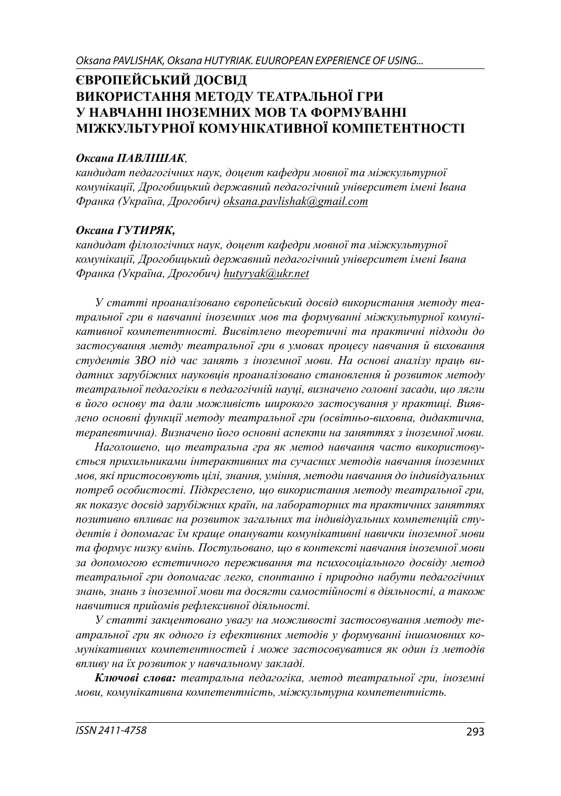# **ЄВРОПЕЙСЬКИЙ ДОСВІД ВИКОРИСТАННЯ МЕТОДУ ТЕАТРАЛЬНОЇ ГРИ У НАВЧАННІ ІНОЗЕМНИХ МОВ ТА ФОРМУВАННІ МІЖКУЛЬТУРНОЇ КОМУНІКАТИВНОЇ КОМПЕТЕНТНОСТІ**

#### *Оксана ПАВЛІШАК,*

*кандидат педагогічних наук, доцент кафедри мовної та міжкультурної комунікації, Дрогобицький державний педагогічний університет імені Івана Франка (Україна, Дрогобич) oksana.pavlishak@gmail.com*

### *Оксана ГУТИРЯК,*

*кандидат філологічних наук, доцент кафедри мовної та міжкультурної комунікації, Дрогобицький державний педагогічний університет імені Івана Франка (Україна, Дрогобич) hutyryak@ukr.net*

*У статті проаналізовано європейський досвід використання методу театральної гри в навчанні іноземних мов та формуванні міжкультурної комунікативної компетентності. Висвітлено теоретичні та практичні підходи до застосування метду театральної гри в умовах процесу навчання й виховання студентів ЗВО під час занять з іноземної мови. На основі аналізу праць видатних зарубіжних науковців проаналізовано становлення й розвиток методу театральної педагогіки в педагогічній науці, визначено головні засади, що лягли в його основу та дали можливість широкого застосування у практиці. Виявлено основні функції методу театральної гри (освітньо-виховна, дидактична, терапевтична). Визначено його основні аспекти на заняттях з іноземної мови.* 

*Наголошено, що театральна гра як метод навчання часто використовується прихильниками інтерактивних та сучасних методів навчання іноземних мов, які пристосовують цілі, знання, уміння, методи навчання до індивідуальних потреб особистості. Підкреслено, що використання методу театральної гри, як показує досвід зарубіжних країн, на лабораторних та практичних заняттях позитивно впливає на розвиток загальних та індивідуальних компетенцій студентів і допомагає їм краще опанувати комунікативні навички іноземної мови та формує низку вмінь. Постульовано, що в контексті навчання іноземної мови за допомогою естетичного переживання та психосоціального досвіду метод театральної гри допомагає легко, спонтанно і природно набути педагогічних знань, знань з іноземної мови та досягти самостійності в діяльності, а також навчитися прийомів рефлексивної діяльності.* 

*У статті закцентовано увагу на можливості застосовування методу театральної гри як одного із ефективних методів у формуванні іншомовних комунікативних компетентностей і може застосовуватися як один із методів впливу на їх розвиток у навчальному закладі.*

*Ключові слова: театральна педагогіка, метод театральної гри, іноземні мови, комунікативна компетентність, міжкультурна компетентність.*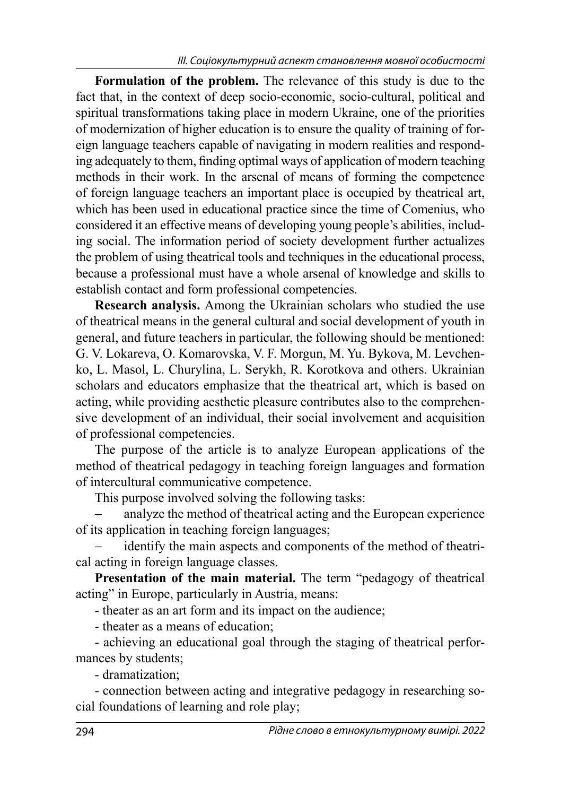**Formulation of the problem.** The relevance of this study is due to the fact that, in the context of deep socio-economic, socio-cultural, political and spiritual transformations taking place in modern Ukraine, one of the priorities of modernization of higher education is to ensure the quality of training of foreign language teachers capable of navigating in modern realities and responding adequately to them, finding optimal ways of application of modern teaching methods in their work. In the arsenal of means of forming the competence of foreign language teachers an important place is occupied by theatrical art, which has been used in educational practice since the time of Comenius, who considered it an effective means of developing young people's abilities, including social. The information period of society development further actualizes the problem of using theatrical tools and techniques in the educational process, because a professional must have a whole arsenal of knowledge and skills to establish contact and form professional competencies.

**Research analysis.** Among the Ukrainian scholars who studied the use of theatrical means in the general cultural and social development of youth in general, and future teachers in particular, the following should be mentioned: G. V. Lokareva, O. Komarovska, V. F. Morgun, M. Yu. Bykova, M. Levchenko, L. Masol, L. Churylina, L. Serykh, R. Korotkova and others. Ukrainian scholars and educators emphasize that the theatrical art, which is based on acting, while providing aesthetic pleasure contributes also to the comprehensive development of an individual, their social involvement and acquisition of professional competencies.

The purpose of the article is to analyze European applications of the method of theatrical pedagogy in teaching foreign languages and formation of intercultural communicative competence.

This purpose involved solving the following tasks:

 analyze the method of theatrical acting and the European experience of its application in teaching foreign languages;

 identify the main aspects and components of the method of theatrical acting in foreign language classes.

**Presentation of the main material.** The term "pedagogy of theatrical acting" in Europe, particularly in Austria, means:

- theater as an art form and its impact on the audience;

- theater as a means of education;

- achieving an educational goal through the staging of theatrical performances by students;

- dramatization;

- connection between acting and integrative pedagogy in researching social foundations of learning and role play;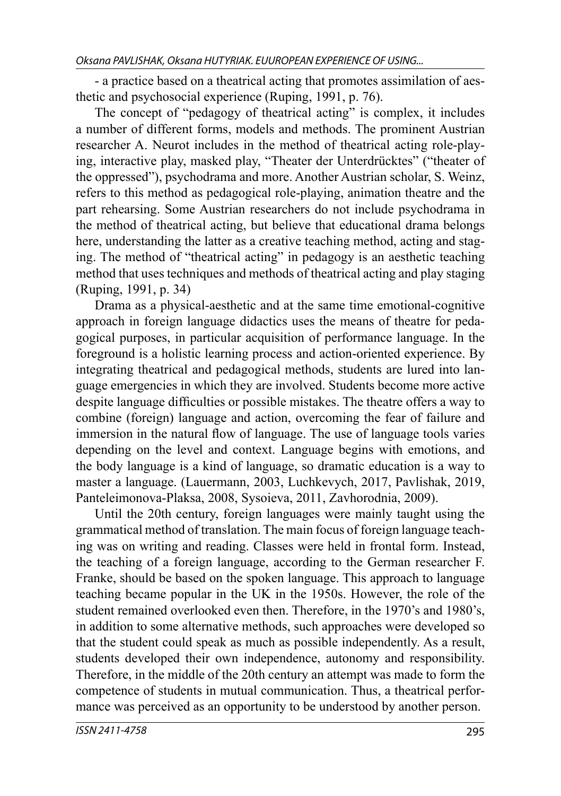- a practice based on a theatrical acting that promotes assimilation of aesthetic and psychosocial experience (Ruping, 1991, p. 76).

The concept of "pedagogy of theatrical acting" is complex, it includes a number of different forms, models and methods. The prominent Austrian researcher A. Neurot includes in the method of theatrical acting role-playing, interactive play, masked play, "Theater der Unterdrücktes" ("theater of the oppressed"), psychodrama and more. Another Austrian scholar, S. Weinz, refers to this method as pedagogical role-playing, animation theatre and the part rehearsing. Some Austrian researchers do not include psychodrama in the method of theatrical acting, but believe that educational drama belongs here, understanding the latter as a creative teaching method, acting and staging. The method of "theatrical acting" in pedagogy is an aesthetic teaching method that uses techniques and methods of theatrical acting and play staging (Ruping, 1991, p. 34)

Drama as a physical-aesthetic and at the same time emotional-cognitive approach in foreign language didactics uses the means of theatre for pedagogical purposes, in particular acquisition of performance language. In the foreground is a holistic learning process and action-oriented experience. By integrating theatrical and pedagogical methods, students are lured into language emergencies in which they are involved. Students become more active despite language difficulties or possible mistakes. The theatre offers a way to combine (foreign) language and action, overcoming the fear of failure and immersion in the natural flow of language. The use of language tools varies depending on the level and context. Language begins with emotions, and the body language is a kind of language, so dramatic education is a way to master a language. (Lauermann, 2003, Luchkevych, 2017, Pavlishak, 2019, Panteleimonova-Plaksa, 2008, Sysoieva, 2011, Zavhorodnia, 2009).

Until the 20th century, foreign languages were mainly taught using the grammatical method of translation. The main focus of foreign language teaching was on writing and reading. Classes were held in frontal form. Instead, the teaching of a foreign language, according to the German researcher F. Franke, should be based on the spoken language. This approach to language teaching became popular in the UK in the 1950s. However, the role of the student remained overlooked even then. Therefore, in the 1970's and 1980's, in addition to some alternative methods, such approaches were developed so that the student could speak as much as possible independently. As a result, students developed their own independence, autonomy and responsibility. Therefore, in the middle of the 20th century an attempt was made to form the competence of students in mutual communication. Thus, a theatrical performance was perceived as an opportunity to be understood by another person.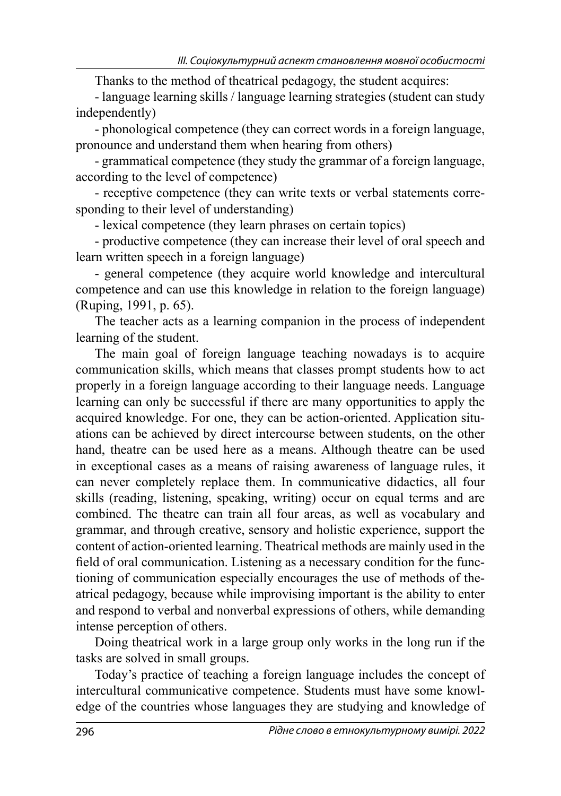Thanks to the method of theatrical pedagogy, the student acquires:

- language learning skills / language learning strategies (student can study independently)

- phonological competence (they can correct words in a foreign language, pronounce and understand them when hearing from others)

- grammatical competence (they study the grammar of a foreign language, according to the level of competence)

- receptive competence (they can write texts or verbal statements corresponding to their level of understanding)

- lexical competence (they learn phrases on certain topics)

- productive competence (they can increase their level of oral speech and learn written speech in a foreign language)

- general competence (they acquire world knowledge and intercultural competence and can use this knowledge in relation to the foreign language) (Ruping, 1991, p. 65).

The teacher acts as a learning companion in the process of independent learning of the student.

The main goal of foreign language teaching nowadays is to acquire communication skills, which means that classes prompt students how to act properly in a foreign language according to their language needs. Language learning can only be successful if there are many opportunities to apply the acquired knowledge. For one, they can be action-oriented. Application situations can be achieved by direct intercourse between students, on the other hand, theatre can be used here as a means. Although theatre can be used in exceptional cases as a means of raising awareness of language rules, it can never completely replace them. In communicative didactics, all four skills (reading, listening, speaking, writing) occur on equal terms and are combined. The theatre can train all four areas, as well as vocabulary and grammar, and through creative, sensory and holistic experience, support the content of action-oriented learning. Theatrical methods are mainly used in the field of oral communication. Listening as a necessary condition for the functioning of communication especially encourages the use of methods of theatrical pedagogy, because while improvising important is the ability to enter and respond to verbal and nonverbal expressions of others, while demanding intense perception of others.

Doing theatrical work in a large group only works in the long run if the tasks are solved in small groups.

Today's practice of teaching a foreign language includes the concept of intercultural communicative competence. Students must have some knowledge of the countries whose languages they are studying and knowledge of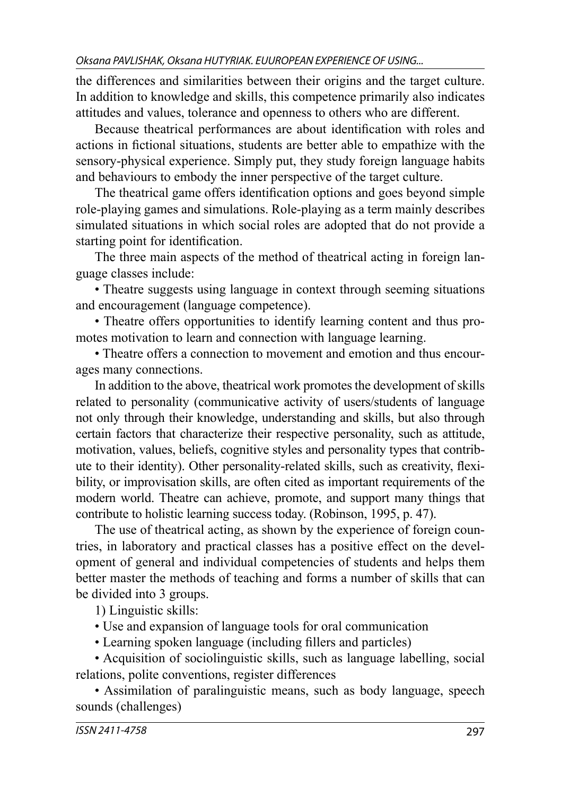the differences and similarities between their origins and the target culture. In addition to knowledge and skills, this competence primarily also indicates attitudes and values, tolerance and openness to others who are different.

Because theatrical performances are about identification with roles and actions in fictional situations, students are better able to empathize with the sensory-physical experience. Simply put, they study foreign language habits and behaviours to embody the inner perspective of the target culture.

The theatrical game offers identification options and goes beyond simple role-playing games and simulations. Role-playing as a term mainly describes simulated situations in which social roles are adopted that do not provide a starting point for identification.

The three main aspects of the method of theatrical acting in foreign language classes include:

• Theatre suggests using language in context through seeming situations and encouragement (language competence).

• Theatre offers opportunities to identify learning content and thus promotes motivation to learn and connection with language learning.

• Theatre offers a connection to movement and emotion and thus encourages many connections.

In addition to the above, theatrical work promotes the development of skills related to personality (communicative activity of users/students of language not only through their knowledge, understanding and skills, but also through certain factors that characterize their respective personality, such as attitude, motivation, values, beliefs, cognitive styles and personality types that contribute to their identity). Other personality-related skills, such as creativity, flexibility, or improvisation skills, are often cited as important requirements of the modern world. Theatre can achieve, promote, and support many things that contribute to holistic learning success today. (Robinson, 1995, p. 47).

The use of theatrical acting, as shown by the experience of foreign countries, in laboratory and practical classes has a positive effect on the development of general and individual competencies of students and helps them better master the methods of teaching and forms a number of skills that can be divided into 3 groups.

1) Linguistic skills:

• Use and expansion of language tools for oral communication

• Learning spoken language (including fillers and particles)

• Acquisition of sociolinguistic skills, such as language labelling, social relations, polite conventions, register differences

• Assimilation of paralinguistic means, such as body language, speech sounds (challenges)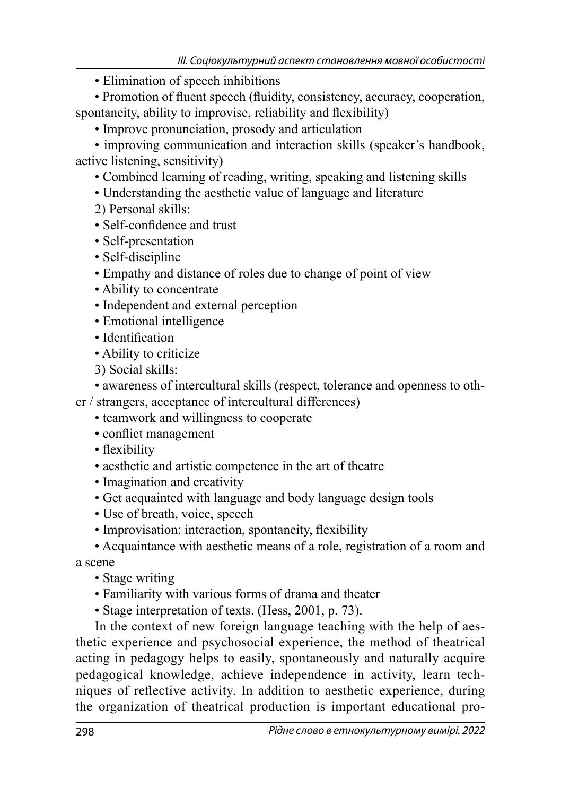• Elimination of speech inhibitions

• Promotion of fluent speech (fluidity, consistency, accuracy, cooperation, spontaneity, ability to improvise, reliability and flexibility)

• Improve pronunciation, prosody and articulation

• improving communication and interaction skills (speaker's handbook, active listening, sensitivity)

- Combined learning of reading, writing, speaking and listening skills
- Understanding the aesthetic value of language and literature
- 2) Personal skills:
- Self-confidence and trust
- Self-presentation
- Self-discipline
- Empathy and distance of roles due to change of point of view
- Ability to concentrate
- Independent and external perception
- Emotional intelligence
- Identification
- Ability to criticize
- 3) Social skills:
- awareness of intercultural skills (respect, tolerance and openness to oth-
- er / strangers, acceptance of intercultural differences)
	- teamwork and willingness to cooperate
	- conflict management
	- flexibility
	- aesthetic and artistic competence in the art of theatre
	- Imagination and creativity
	- Get acquainted with language and body language design tools
	- Use of breath, voice, speech
	- Improvisation: interaction, spontaneity, flexibility
	- Acquaintance with aesthetic means of a role, registration of a room and

a scene

- Stage writing
- Familiarity with various forms of drama and theater
- Stage interpretation of texts. (Hess, 2001, p. 73).

In the context of new foreign language teaching with the help of aesthetic experience and psychosocial experience, the method of theatrical acting in pedagogy helps to easily, spontaneously and naturally acquire pedagogical knowledge, achieve independence in activity, learn techniques of reflective activity. In addition to aesthetic experience, during the organization of theatrical production is important educational pro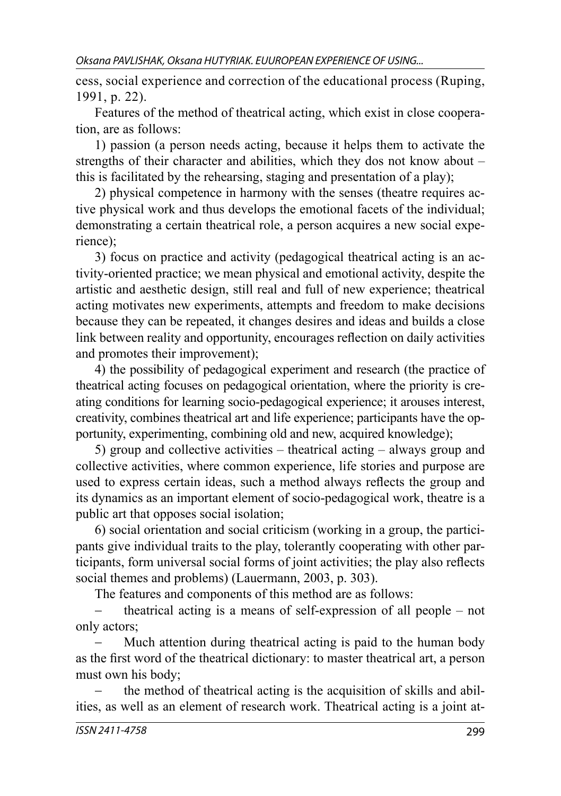cess, social experience and correction of the educational process (Ruping, 1991, p. 22).

Features of the method of theatrical acting, which exist in close cooperation, are as follows:

1) passion (a person needs acting, because it helps them to activate the strengths of their character and abilities, which they dos not know about – this is facilitated by the rehearsing, staging and presentation of a play);

2) physical competence in harmony with the senses (theatre requires active physical work and thus develops the emotional facets of the individual; demonstrating a certain theatrical role, a person acquires a new social experience);

3) focus on practice and activity (pedagogical theatrical acting is an activity-oriented practice; we mean physical and emotional activity, despite the artistic and aesthetic design, still real and full of new experience; theatrical acting motivates new experiments, attempts and freedom to make decisions because they can be repeated, it changes desires and ideas and builds a close link between reality and opportunity, encourages reflection on daily activities and promotes their improvement);

4) the possibility of pedagogical experiment and research (the practice of theatrical acting focuses on pedagogical orientation, where the priority is creating conditions for learning socio-pedagogical experience; it arouses interest, creativity, combines theatrical art and life experience; participants have the opportunity, experimenting, combining old and new, acquired knowledge);

5) group and collective activities – theatrical acting – always group and collective activities, where common experience, life stories and purpose are used to express certain ideas, such a method always reflects the group and its dynamics as an important element of socio-pedagogical work, theatre is a public art that opposes social isolation;

6) social orientation and social criticism (working in a group, the participants give individual traits to the play, tolerantly cooperating with other participants, form universal social forms of joint activities; the play also reflects social themes and problems) (Lauermann, 2003, p. 303).

The features and components of this method are as follows:

 theatrical acting is a means of self-expression of all people – not only actors;

 Much attention during theatrical acting is paid to the human body as the first word of the theatrical dictionary: to master theatrical art, a person must own his body;

 the method of theatrical acting is the acquisition of skills and abilities, as well as an element of research work. Theatrical acting is a joint at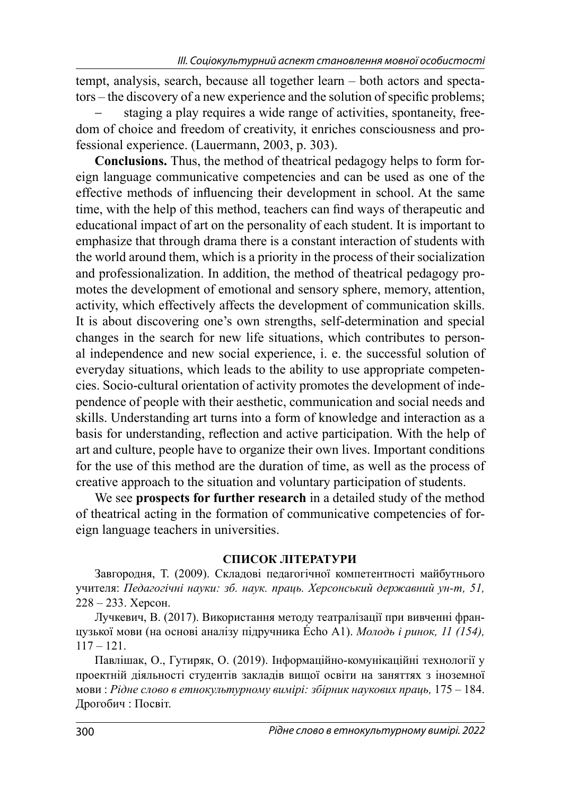tempt, analysis, search, because all together learn – both actors and spectators – the discovery of a new experience and the solution of specific problems;

 staging a play requires a wide range of activities, spontaneity, freedom of choice and freedom of creativity, it enriches consciousness and professional experience. (Lauermann, 2003, p. 303).

**Conclusions.** Thus, the method of theatrical pedagogy helps to form foreign language communicative competencies and can be used as one of the effective methods of influencing their development in school. At the same time, with the help of this method, teachers can find ways of therapeutic and educational impact of art on the personality of each student. It is important to emphasize that through drama there is a constant interaction of students with the world around them, which is a priority in the process of their socialization and professionalization. In addition, the method of theatrical pedagogy promotes the development of emotional and sensory sphere, memory, attention, activity, which effectively affects the development of communication skills. It is about discovering one's own strengths, self-determination and special changes in the search for new life situations, which contributes to personal independence and new social experience, i. e. the successful solution of everyday situations, which leads to the ability to use appropriate competencies. Socio-cultural orientation of activity promotes the development of independence of people with their aesthetic, communication and social needs and skills. Understanding art turns into a form of knowledge and interaction as a basis for understanding, reflection and active participation. With the help of art and culture, people have to organize their own lives. Important conditions for the use of this method are the duration of time, as well as the process of creative approach to the situation and voluntary participation of students.

We see **prospects for further research** in a detailed study of the method of theatrical acting in the formation of communicative competencies of foreign language teachers in universities.

### **СПИСОК ЛІТЕРАТУРИ**

Завгородня, Т. (2009). Складові педагогічної компетентності майбутнього учителя: *Педагогічні науки: зб. наук. праць. Херсонський державний ун-т, 51,* 228 – 233. Херсон.

Лучкевич, В. (2017). Використання методу театралізації при вивченні французької мови (на основі аналізу підручника Écho А1). *Молодь і ринок, 11 (154),*  $117 - 121$ 

Павлішак, О., Гутиряк, О. (2019). Інформаційно-комунікаційні технології у проектній діяльності студентів закладів вищої освіти на заняттях з іноземної мови : *Рідне слово в етнокультурному вимірі: збірник наукових праць,* 175 – 184. Дрогобич : Посвіт.